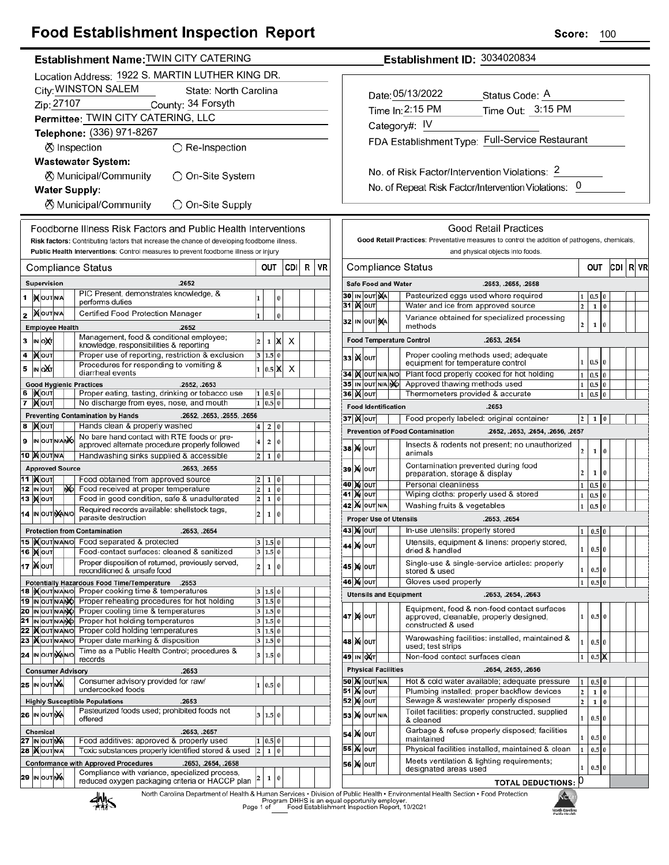|                                                                                                                                                                                                                                                                                                                                                                                                                                                                                | <b>Food Establishment Inspection Report</b> |  |  |          |  |  |                                                                                                                                                                                                                                                          |                |                                            |  |                          |                                                                                                                                                                                                                                                                       | Score:                                       |                                |       | 100 |  |
|--------------------------------------------------------------------------------------------------------------------------------------------------------------------------------------------------------------------------------------------------------------------------------------------------------------------------------------------------------------------------------------------------------------------------------------------------------------------------------|---------------------------------------------|--|--|----------|--|--|----------------------------------------------------------------------------------------------------------------------------------------------------------------------------------------------------------------------------------------------------------|----------------|--------------------------------------------|--|--------------------------|-----------------------------------------------------------------------------------------------------------------------------------------------------------------------------------------------------------------------------------------------------------------------|----------------------------------------------|--------------------------------|-------|-----|--|
| Establishment Name: TWIN CITY CATERING                                                                                                                                                                                                                                                                                                                                                                                                                                         |                                             |  |  |          |  |  | Establishment ID: 3034020834                                                                                                                                                                                                                             |                |                                            |  |                          |                                                                                                                                                                                                                                                                       |                                              |                                |       |     |  |
| Location Address: 1922 S. MARTIN LUTHER KING DR.<br>City: WINSTON SALEM<br>State: North Carolina<br>Zip: 27107 County: 34 Forsyth<br>Permittee: TWIN CITY CATERING, LLC<br>Telephone: (336) 971-8267<br><b>⊗</b> Inspection<br>$\bigcirc$ Re-Inspection<br><b>Wastewater System:</b><br><b>X</b> Municipal/Community<br>◯ On-Site System<br><b>Water Supply:</b><br>◯ On-Site Supply                                                                                           |                                             |  |  |          |  |  | Date: 05/13/2022<br>Status Code: A<br>Time Out: 3:15 PM<br>Time In: 2:15 PM<br>Category#: IV<br>FDA Establishment Type: Full-Service Restaurant<br>No. of Risk Factor/Intervention Violations: 2<br>No. of Repeat Risk Factor/Intervention Violations: 0 |                |                                            |  |                          |                                                                                                                                                                                                                                                                       |                                              |                                |       |     |  |
| <b>8</b> Municipal/Community<br>Foodborne Illness Risk Factors and Public Health Interventions<br>Risk factors: Contributing factors that increase the chance of developing foodborne illness.<br>Public Health Interventions: Control measures to prevent foodborne illness or injury<br>R VR<br><b>OUT</b><br><b>CDI</b><br><b>Compliance Status</b><br>Supervision<br>.2652<br>PIC Present, demonstrates knowledge, &<br>1 $N$ OUT N/A<br>$\overline{0}$<br>performs duties |                                             |  |  |          |  |  |                                                                                                                                                                                                                                                          | 31 <b>Kour</b> | <b>Safe Food and Water</b><br>30 IN OUT NA |  | <b>Compliance Status</b> | <b>Good Retail Practices</b><br>Good Retail Practices: Preventative measures to control the addition of pathogens, chemicals<br>and physical objects into foods.<br>.2653, .2655, .2658<br>Pasteurized eggs used where required<br>Water and ice from approved source | $\vert$ 2                                    | OUT<br>$1 \ 0.5 \ 0$<br>$1\,0$ | CDI R |     |  |
| <b>XOUTNA</b><br>$\overline{2}$                                                                                                                                                                                                                                                                                                                                                                                                                                                | Certified Food Protection Manager           |  |  | $\Omega$ |  |  |                                                                                                                                                                                                                                                          |                |                                            |  |                          |                                                                                                                                                                                                                                                                       | Variance obtained for enecialized processing |                                |       |     |  |

 $1 \times$ 

 $3 \ 1.5 \ 0$ 

 $1|0.5|X$ 

 $1 | 0.5 | 0$ 

 $1|0.5|0$ 

 $2|0$ 

 $4\vert 2\vert 0$ 

 $2 \mid 1 \mid 0$ 

 $2 \quad 1 \quad 0$ 

 $2 \mid 1 \mid 0$ 

 $2 \mid 1 \mid 0$ 

 $3 | 1.5 | 0$ 

 $3 | 1.5 | 0$ 

 $2 \mid 1 \mid 0$ 

 $3 | 1.5 | 0$ 

 $3 | 1.5 | 0$ 

 $\overline{2}$ 

 $1|0$ 

 $|2|$ 

 $\times$ 

 $\boldsymbol{\mathsf{x}}$ 

32 IN OUT **NA** 

**33 Ж**оит

34 X OUT N/A N/O

35 IN OUT N/A NO

**Food Identification** 

**Prevention of Food Contamination** 

animals

36 **Kour** 

**зв|)х** |оυт

**39 X OUT** 

40 MOUT

**41 MOUT** 

**43 X OUT** 

44 X OUT

45 X OUT

46 X OUT

**42 X OUT N/A** 

**Proper Use of Utensils** 

**Utensils and Equipment** 

**Food Temperature Control** 

methods

CDI R VR

 $\mathbf 2$  $\mathbf{1}$  $\sqrt{2}$ 

 $1|0.5$  $\overline{0}$ 

 $1\quad 0.5\quad 0$ 

 $1 \ 0.5 \ 0$ 

 $1 \ 0.5 \ 0$ 

 $\overline{2}$  $\mathbf{1}$  $\overline{0}$ 

 $\mathbf 2$  $\mathbf 1$  $\boldsymbol{0}$ 

 $1 \ 0.5$  $\overline{0}$ 

 $1 \mid 0.5$  $\bf{0}$ 

 $1 \vert 0.5$ 

 $1 | 0.5 | 0$ 

 $\mathbf{1}$  $0.5|0$ 

 $\mathbf{1}$  $0.5<sub>0</sub>$ 

 $\overline{1}$  $0.5$  $\bf{0}$ 

 $\pmb{0}$ 

İΧ

 $\overline{0}$ 

 $\vert$ 0

| <b>I</b> TODGE TEITGAMING DIVOCCUBICS TOP HOL HORDING                                           |   | $3 + 1.5 + 0$             |         |                                               |  |  |  |                            |                            |  |                                                                                                                                          |                         |                  |  |
|-------------------------------------------------------------------------------------------------|---|---------------------------|---------|-----------------------------------------------|--|--|--|----------------------------|----------------------------|--|------------------------------------------------------------------------------------------------------------------------------------------|-------------------------|------------------|--|
| Proper cooling time & temperatures                                                              |   | 3   1.5   0               |         |                                               |  |  |  | <b>47 MOUT</b>             |                            |  | Equipment, food & non-food contact surfaces                                                                                              |                         | 0.5 <sub>0</sub> |  |
| Proper hot holding temperatures                                                                 | 3 |                           | $1.5$ 0 |                                               |  |  |  |                            |                            |  | approved, cleanable, properly designed,<br>constructed & used                                                                            |                         |                  |  |
| Proper cold holding temperatures<br>3   1.5   0                                                 |   |                           |         |                                               |  |  |  |                            |                            |  |                                                                                                                                          |                         |                  |  |
| Proper date marking & disposition                                                               |   | 3   1.5   0               |         |                                               |  |  |  | $ 48 $ M $ 00T $           |                            |  | Warewashing facilities: installed, maintained &<br>used; test strips                                                                     |                         | 0.5 <sub>0</sub> |  |
| Time as a Public Health Control; procedures &<br>records                                        |   | 3   1.5   0               |         |                                               |  |  |  | 49 IN OXT                  |                            |  | Non-food contact surfaces clean                                                                                                          |                         | 0.5              |  |
| .2653<br>iory                                                                                   |   |                           |         |                                               |  |  |  |                            | <b>Physical Facilities</b> |  | .2654, .2655, .2656                                                                                                                      |                         |                  |  |
| Consumer advisory provided for raw/                                                             |   | $\vert 0.5 \vert 0 \vert$ |         |                                               |  |  |  |                            | <b>50 X</b> OUT N/A        |  | Hot & cold water available; adequate pressure                                                                                            | 1                       | 0.5 <sub>0</sub> |  |
| undercooked foods                                                                               |   |                           |         |                                               |  |  |  | <b>51 X OUT</b>            |                            |  | Plumbing installed; proper backflow devices                                                                                              | $\overline{2}$          |                  |  |
| .2653<br><b>Die Populations</b>                                                                 |   |                           |         |                                               |  |  |  | <b>52 M</b> OUT            |                            |  | Sewage & wastewater properly disposed                                                                                                    | $\overline{\mathbf{c}}$ |                  |  |
| Pasteurized foods used; prohibited foods not<br>offered                                         |   | 3   1.5   0               |         |                                               |  |  |  |                            | <b>53 M OUT N/A</b>        |  | Toilet facilities: properly constructed, supplied<br>& cleaned                                                                           |                         | 0.5 <sub>0</sub> |  |
| .2653, .2657<br>Food additives: approved & properly used                                        |   | 1   0.5   0               |         |                                               |  |  |  | <b>54 X OUT</b>            |                            |  | Garbage & refuse properly disposed; facilities<br>maintained                                                                             |                         | 0.5 <sub>0</sub> |  |
| Toxic substances properly identified stored & used                                              | 2 |                           | 1 0     |                                               |  |  |  | 55 X OUT                   |                            |  | Physical facilities installed, maintained & clean                                                                                        |                         | 0.5 <sub>0</sub> |  |
| th Approved Procedures<br>.2653, .2654, .2658<br>Compliance with variance, specialized process, |   |                           |         |                                               |  |  |  | 56 X OUT                   |                            |  | Meets ventilation & lighting requirements;<br>designated areas used                                                                      |                         | 0.5 <sub>0</sub> |  |
| $2 \mid 1 \mid 0$<br>reduced oxygen packaging criteria or HACCP plan                            |   |                           |         |                                               |  |  |  | <b>TOTAL DEDUCTIONS: U</b> |                            |  |                                                                                                                                          |                         |                  |  |
| ⊿Mhc                                                                                            |   |                           |         | Program DHHS is an equal opportunity employer |  |  |  |                            |                            |  | North Carolina Department of Health & Human Services · Division of Public Health · Environmental Health Section · Food Protection<br>NCT |                         |                  |  |

Variance obtained for specialized processing

Proper cooling methods used; adequate<br>equipment for temperature control

Plant food properly cooked for hot holding

Approved thawing methods used

37 X out | Food properly labeled: original container

Personal cleanliness

dried & handled

stored & used

Gloves used properly

Washing fruits & vegetables

In-use utensils: properly stored

Thermometers provided & accurate

Contamination prevented during food<br>preparation, storage & display

Wiping cloths: properly used & stored

.2653, .2654

.2653

Insects & rodents not present; no unauthorized

.2653, .2654

.2653. .2654. .2663

Utensils, equipment & linens: properly stored,

Single-use & single-service articles: properly

.2652, .2653, .2654, .2656, .2657



IN OUT

4 XOUT

6 | KOUT

**XOUT** 8

10 XOUTNA

11 **|** Доит

12 IN OUT

13  $M$ out

**16 Мол** 

17 **M**out

IN OUT NANO

**Consumer Advisory** 

**Highly Susceptible Populations** 

25 |IN OUT NA

**IN OUT AA** 26

IN OUT NA

Chemical

27 IN OUT NA 28 | OUT N/A

14 IN OUT NANO

IN OUT N/A ŵć

**Approved Source** 

ŊФ

**Protection from Contamination** 

3

5 IN OAT

 $\overline{7}$ **X**out

9

**Employee Health** 

**Good Hygienic Practices** 

**Preventing Contamination by Hands** 

.2652

.2652, .2653

.2653, .2655

.2653, .2654

.2652, .2653, .2655, .2656

Management, food & conditional employee;

Procedures for responding to vomiting &

Proper use of reporting, restriction & exclusion

Proper eating, tasting, drinking or tobacco use

No discharge from eyes, nose, and mouth

No bare hand contact with RTE foods or pre-

Handwashing sinks supplied & accessible

Food obtained from approved source

Food received at proper temperature

approved alternate procedure properly followed

Food in good condition, safe & unadulterated

Required records available: shellstock tags,

Food-contact surfaces: cleaned & sanitized

Proper disposition of returned, previously served,

Hands clean & properly washed

knowledge, responsibilities & reporting

diarrheal events

parasite destruction

Potentially Hazardous Food Time/Temperature .2653

18 | Nout NANO Proper cooking time & temperatures

20 IN OUT N/ANO Proper cooling time & temperatures

21 IN OUT N/ANO Proper hot holding temperatures 22 | Vout NANO Proper cold holding temperatures 23 XouTNANO Proper date marking & disposition

**Conformance with Approved Procedures** 

reconditioned & unsafe food

19 IN OUT NAMO Proper reheating procedures for hot holding

15 | Nout NANO Food separated & protected

Page 1 of Food Establishment Inspection Report, 10/2021

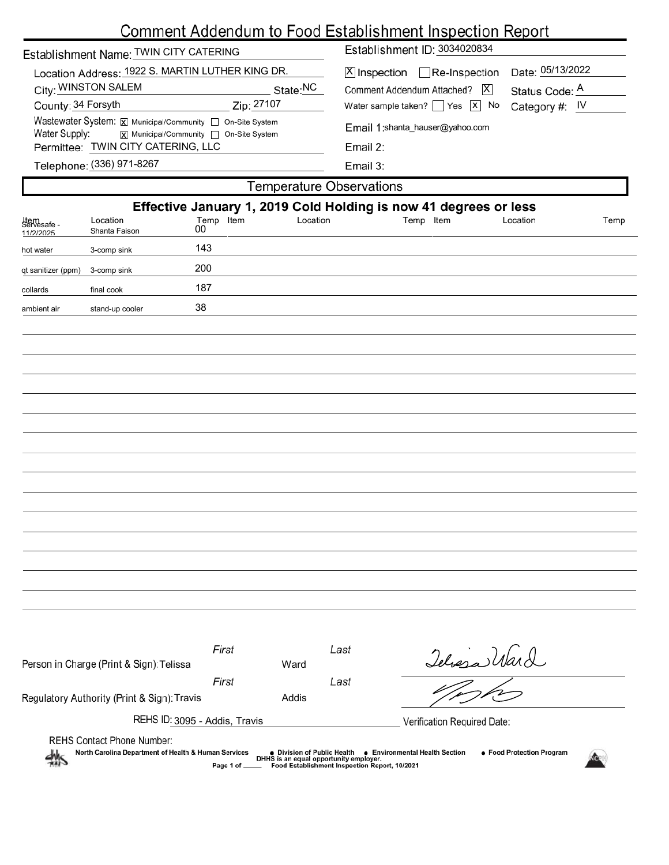|                                     |                                                                                                                                                                                                         |                                        |            |           | <u>Comment Addendum to Food Establishment Inspection Report</u>                                                                                                                                      |                 |                                                        |      |
|-------------------------------------|---------------------------------------------------------------------------------------------------------------------------------------------------------------------------------------------------------|----------------------------------------|------------|-----------|------------------------------------------------------------------------------------------------------------------------------------------------------------------------------------------------------|-----------------|--------------------------------------------------------|------|
|                                     | Establishment Name: TWIN CITY CATERING                                                                                                                                                                  |                                        |            |           | Establishment ID: 3034020834                                                                                                                                                                         |                 |                                                        |      |
| County: 34 Forsyth<br>Water Supply: | Location Address: 1922 S. MARTIN LUTHER KING DR.<br>City: WINSTON SALEM<br>Wastewater System: X Municipal/Community   On-Site System<br>Permittee: TWIN CITY CATERING, LLC<br>Telephone: (336) 971-8267 | X Municipal/Community   On-Site System | Zip: 27107 | State: NC | $X$ Inspection Re-Inspection<br>Comment Addendum Attached?<br>Water sample taken? $\Box$ Yes $\Box$ No<br>Email 1:shanta_hauser@yahoo.com<br>Email 2:<br>Email 3:<br><b>Temperature Observations</b> | $\vert X \vert$ | Date: 05/13/2022<br>Status Code: A<br>Category #: $IV$ |      |
|                                     |                                                                                                                                                                                                         |                                        |            |           | Effective January 1, 2019 Cold Holding is now 41 degrees or less                                                                                                                                     |                 |                                                        |      |
| Item<br>Servesafe -<br>11/2/2025    | Location<br>Shanta Faison                                                                                                                                                                               | Temp Item<br>00                        |            | Location  | Temp Item                                                                                                                                                                                            |                 | Location                                               | Temp |
| hot water                           | 3-comp sink                                                                                                                                                                                             | 143                                    |            |           |                                                                                                                                                                                                      |                 |                                                        |      |
| qt sanitizer (ppm)                  | 3-comp sink                                                                                                                                                                                             | 200                                    |            |           |                                                                                                                                                                                                      |                 |                                                        |      |
| collards                            | final cook                                                                                                                                                                                              | 187                                    |            |           |                                                                                                                                                                                                      |                 |                                                        |      |
| ambient air                         | stand-up cooler                                                                                                                                                                                         | 38                                     |            |           |                                                                                                                                                                                                      |                 |                                                        |      |
|                                     |                                                                                                                                                                                                         |                                        |            |           |                                                                                                                                                                                                      |                 |                                                        |      |
|                                     |                                                                                                                                                                                                         |                                        |            |           |                                                                                                                                                                                                      |                 |                                                        |      |
|                                     |                                                                                                                                                                                                         |                                        |            |           |                                                                                                                                                                                                      |                 |                                                        |      |
|                                     |                                                                                                                                                                                                         |                                        |            |           |                                                                                                                                                                                                      |                 |                                                        |      |
|                                     |                                                                                                                                                                                                         |                                        |            |           |                                                                                                                                                                                                      |                 |                                                        |      |
|                                     |                                                                                                                                                                                                         |                                        |            |           |                                                                                                                                                                                                      |                 |                                                        |      |
|                                     |                                                                                                                                                                                                         |                                        |            |           |                                                                                                                                                                                                      |                 |                                                        |      |
|                                     |                                                                                                                                                                                                         |                                        |            |           |                                                                                                                                                                                                      |                 |                                                        |      |
|                                     |                                                                                                                                                                                                         |                                        |            |           |                                                                                                                                                                                                      |                 |                                                        |      |
|                                     |                                                                                                                                                                                                         |                                        |            |           |                                                                                                                                                                                                      |                 |                                                        |      |
|                                     |                                                                                                                                                                                                         |                                        |            |           |                                                                                                                                                                                                      |                 |                                                        |      |
|                                     |                                                                                                                                                                                                         |                                        |            |           |                                                                                                                                                                                                      |                 |                                                        |      |
|                                     |                                                                                                                                                                                                         |                                        |            |           |                                                                                                                                                                                                      |                 |                                                        |      |
|                                     |                                                                                                                                                                                                         |                                        |            |           |                                                                                                                                                                                                      |                 |                                                        |      |

| <b>REHS Contact Phone Number:</b><br>North Carolina Department of Health & Human Services<br>熱 | Page 1 of ___               | • Division of Public Health | DHHS is an equal opportunity employer.<br>Food Establishment Inspection Report, 10/2021 | ● Food Protection Program<br>• Environmental Health Section |  |
|------------------------------------------------------------------------------------------------|-----------------------------|-----------------------------|-----------------------------------------------------------------------------------------|-------------------------------------------------------------|--|
| REHS ID: 3095 - Addis, Travis                                                                  | Verification Required Date: |                             |                                                                                         |                                                             |  |
| Regulatory Authority (Print & Sign): Travis                                                    |                             | Addis                       |                                                                                         |                                                             |  |
|                                                                                                | First                       |                             | Last                                                                                    |                                                             |  |
| Person in Charge (Print & Sign): Telissa                                                       |                             | Ward                        |                                                                                         | Telasa Ward                                                 |  |
|                                                                                                | First                       |                             | Last                                                                                    |                                                             |  |